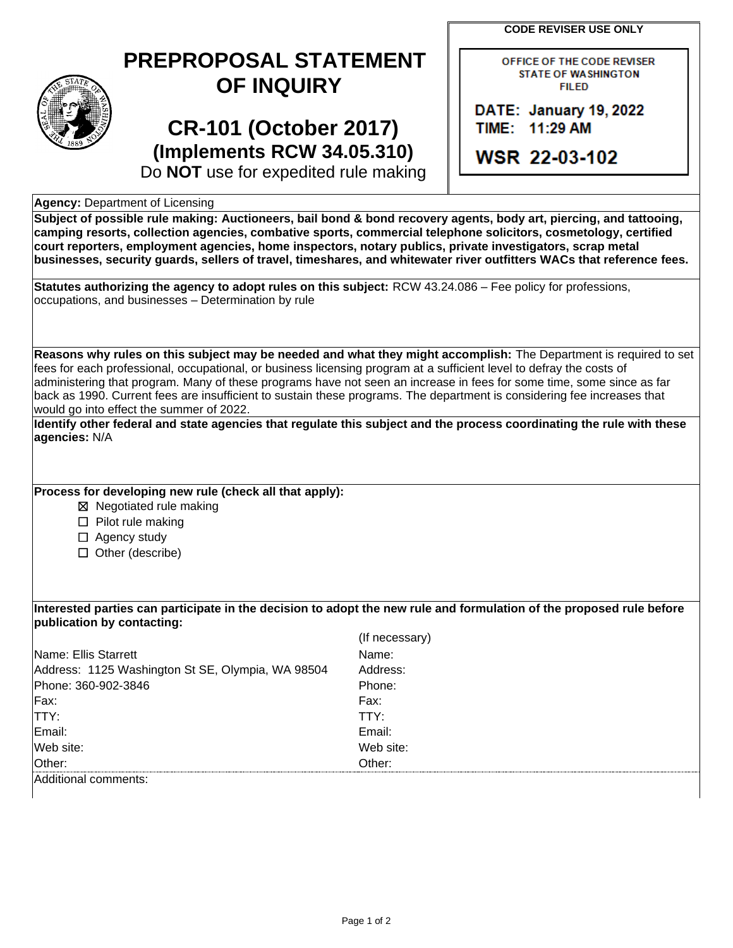**CODE REVISER USE ONLY**

## **PREPROPOSAL STATEMENT OF INQUIRY**

# **CR-101 (October 2017) (Implements RCW 34.05.310)**

OFFICE OF THE CODE REVISER **STATE OF WASHINGTON FILED** 

DATE: January 19, 2022 TIME: 11:29 AM

**WSR 22-03-102** 

Do **NOT** use for expedited rule making

### **Agency:** Department of Licensing

**Subject of possible rule making: Auctioneers, bail bond & bond recovery agents, body art, piercing, and tattooing, camping resorts, collection agencies, combative sports, commercial telephone solicitors, cosmetology, certified court reporters, employment agencies, home inspectors, notary publics, private investigators, scrap metal businesses, security guards, sellers of travel, timeshares, and whitewater river outfitters WACs that reference fees.**

**Statutes authorizing the agency to adopt rules on this subject:** RCW 43.24.086 – Fee policy for professions, occupations, and businesses – Determination by rule

**Reasons why rules on this subject may be needed and what they might accomplish:** The Department is required to set fees for each professional, occupational, or business licensing program at a sufficient level to defray the costs of administering that program. Many of these programs have not seen an increase in fees for some time, some since as far back as 1990. Current fees are insufficient to sustain these programs. The department is considering fee increases that would go into effect the summer of 2022.

**Identify other federal and state agencies that regulate this subject and the process coordinating the rule with these agencies:** N/A

## **Process for developing new rule (check all that apply):**

☒ Negotiated rule making

- ☐ Pilot rule making
- □ Agency study
- ☐ Other (describe)

**Interested parties can participate in the decision to adopt the new rule and formulation of the proposed rule before publication by contacting:**

|                                                   | (If necessary) |
|---------------------------------------------------|----------------|
| Name: Ellis Starrett                              | Name:          |
| Address: 1125 Washington St SE, Olympia, WA 98504 | Address:       |
| Phone: 360-902-3846                               | Phone:         |
| Fx:                                               | Fax:           |
| TTY:                                              | TTY:           |
| Email:                                            | Email:         |
| Web site:                                         | Web site:      |
| Other:                                            | Other:         |
| Additional comments:                              |                |